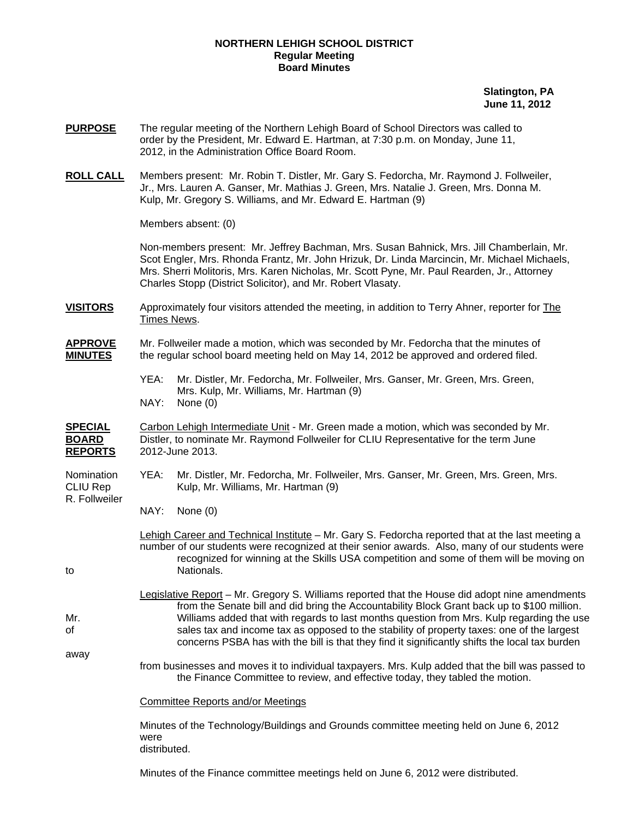#### **NORTHERN LEHIGH SCHOOL DISTRICT Regular Meeting Board Minutes**

 **Slatington, PA June 11, 2012** 

- **PURPOSE** The regular meeting of the Northern Lehigh Board of School Directors was called to order by the President, Mr. Edward E. Hartman, at 7:30 p.m. on Monday, June 11, 2012, in the Administration Office Board Room.
- **ROLL CALL** Members present: Mr. Robin T. Distler, Mr. Gary S. Fedorcha, Mr. Raymond J. Follweiler, Jr., Mrs. Lauren A. Ganser, Mr. Mathias J. Green, Mrs. Natalie J. Green, Mrs. Donna M. Kulp, Mr. Gregory S. Williams, and Mr. Edward E. Hartman (9)

Members absent: (0)

Non-members present: Mr. Jeffrey Bachman, Mrs. Susan Bahnick, Mrs. Jill Chamberlain, Mr. Scot Engler, Mrs. Rhonda Frantz, Mr. John Hrizuk, Dr. Linda Marcincin, Mr. Michael Michaels, Mrs. Sherri Molitoris, Mrs. Karen Nicholas, Mr. Scott Pyne, Mr. Paul Rearden, Jr., Attorney Charles Stopp (District Solicitor), and Mr. Robert Vlasaty.

**VISITORS** Approximately four visitors attended the meeting, in addition to Terry Ahner, reporter for The Times News.

## **APPROVE** Mr. Follweiler made a motion, which was seconded by Mr. Fedorcha that the minutes of **MINUTES** the regular school board meeting held on May 14, 2012 be approved and ordered filed.

 YEA: Mr. Distler, Mr. Fedorcha, Mr. Follweiler, Mrs. Ganser, Mr. Green, Mrs. Green, Mrs. Kulp, Mr. Williams, Mr. Hartman (9) NAY: None (0)

### **SPECIAL** Carbon Lehigh Intermediate Unit - Mr. Green made a motion, which was seconded by Mr. **BOARD** Distler, to nominate Mr. Raymond Follweiler for CLIU Representative for the term June **REPORTS** 2012-June 2013.

- Nomination YEA: Mr. Distler, Mr. Fedorcha, Mr. Follweiler, Mrs. Ganser, Mr. Green, Mrs. Green, Mrs. CLIU Rep Kulp, Mr. Williams, Mr. Hartman (9) R. Follweiler
	- NAY: None (0)

 Lehigh Career and Technical Institute – Mr. Gary S. Fedorcha reported that at the last meeting a number of our students were recognized at their senior awards. Also, many of our students were recognized for winning at the Skills USA competition and some of them will be moving on to Nationals.

 Legislative Report – Mr. Gregory S. Williams reported that the House did adopt nine amendments from the Senate bill and did bring the Accountability Block Grant back up to \$100 million. Mr. Williams added that with regards to last months question from Mrs. Kulp regarding the use of sales tax and income tax as opposed to the stability of property taxes: one of the largest concerns PSBA has with the bill is that they find it significantly shifts the local tax burden

away from businesses and moves it to individual taxpayers. Mrs. Kulp added that the bill was passed to the Finance Committee to review, and effective today, they tabled the motion.

Committee Reports and/or Meetings

 Minutes of the Technology/Buildings and Grounds committee meeting held on June 6, 2012 were distributed.

Minutes of the Finance committee meetings held on June 6, 2012 were distributed.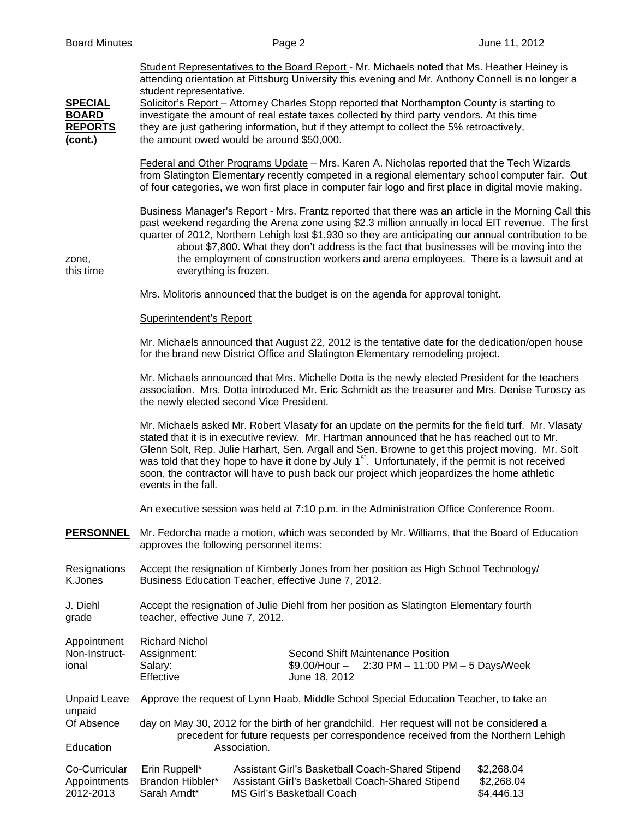Student Representatives to the Board Report - Mr. Michaels noted that Ms. Heather Heiney is attending orientation at Pittsburg University this evening and Mr. Anthony Connell is no longer a student representative. **SPECIAL** Solicitor's Report – Attorney Charles Stopp reported that Northampton County is starting to **BOARD** investigate the amount of real estate taxes collected by third party vendors. At this time **REPORTS** they are just gathering information, but if they attempt to collect the 5% retroactively, **(cont.)** the amount owed would be around \$50,000. Federal and Other Programs Update – Mrs. Karen A. Nicholas reported that the Tech Wizards from Slatington Elementary recently competed in a regional elementary school computer fair. Out of four categories, we won first place in computer fair logo and first place in digital movie making. Business Manager's Report - Mrs. Frantz reported that there was an article in the Morning Call this past weekend regarding the Arena zone using \$2.3 million annually in local EIT revenue. The first quarter of 2012, Northern Lehigh lost \$1,930 so they are anticipating our annual contribution to be about \$7,800. What they don't address is the fact that businesses will be moving into the zone, the employment of construction workers and arena employees. There is a lawsuit and at this time everything is frozen. Mrs. Molitoris announced that the budget is on the agenda for approval tonight. Superintendent's Report Mr. Michaels announced that August 22, 2012 is the tentative date for the dedication/open house for the brand new District Office and Slatington Elementary remodeling project. Mr. Michaels announced that Mrs. Michelle Dotta is the newly elected President for the teachers association. Mrs. Dotta introduced Mr. Eric Schmidt as the treasurer and Mrs. Denise Turoscy as the newly elected second Vice President. Mr. Michaels asked Mr. Robert Vlasaty for an update on the permits for the field turf. Mr. Vlasaty stated that it is in executive review. Mr. Hartman announced that he has reached out to Mr. Glenn Solt, Rep. Julie Harhart, Sen. Argall and Sen. Browne to get this project moving. Mr. Solt was told that they hope to have it done by July 1<sup>st</sup>. Unfortunately, if the permit is not received soon, the contractor will have to push back our project which jeopardizes the home athletic events in the fall. An executive session was held at 7:10 p.m. in the Administration Office Conference Room. **PERSONNEL** Mr. Fedorcha made a motion, which was seconded by Mr. Williams, that the Board of Education approves the following personnel items: Resignations Accept the resignation of Kimberly Jones from her position as High School Technology/ K.Jones Business Education Teacher, effective June 7, 2012. J. Diehl Accept the resignation of Julie Diehl from her position as Slatington Elementary fourth grade teacher, effective June 7, 2012. Appointment Richard Nichol Non-Instruct- Assignment: Second Shift Maintenance Position ional Salary: \$9.00/Hour – 2:30 PM – 11:00 PM – 5 Days/Week Effective June 18, 2012 Unpaid Leave Approve the request of Lynn Haab, Middle School Special Education Teacher, to take an unpaid Of Absence day on May 30, 2012 for the birth of her grandchild. Her request will not be considered a precedent for future requests per correspondence received from the Northern Lehigh Education **Association**. Co-Curricular Erin Ruppell\* Assistant Girl's Basketball Coach-Shared Stipend \$2,268.04

Appointments Brandon Hibbler\* Assistant Girl's Basketball Coach-Shared Stipend \$2,268.04 2012-2013 Sarah Arndt\* MS Girl's Basketball Coach \$4,446.13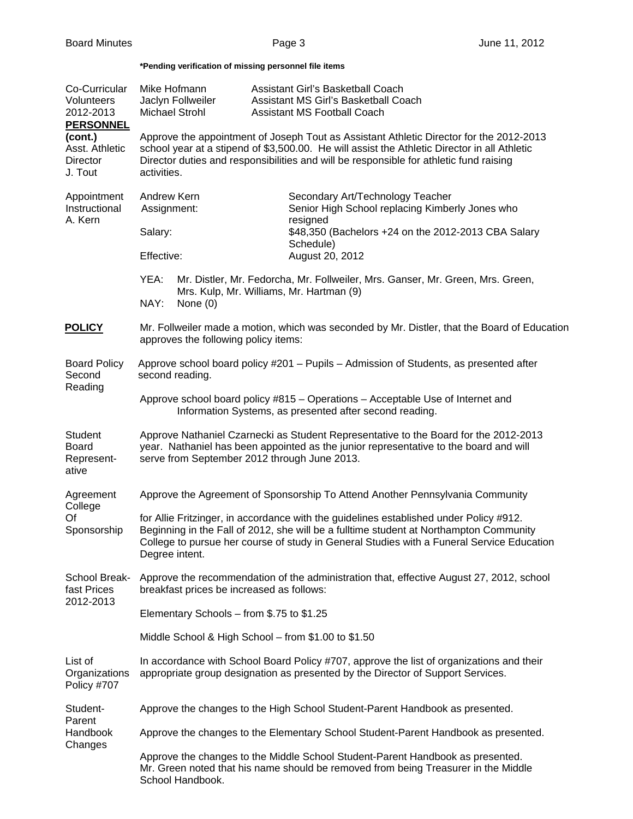## **\*Pending verification of missing personnel file items**

| Co-Curricular<br>Volunteers<br>2012-2013<br><b>PERSONNEL</b> | Mike Hofmann<br>Jaclyn Follweiler<br>Michael Strohl                                                                                                                                                                                                                                              |                    | Assistant Girl's Basketball Coach<br>Assistant MS Girl's Basketball Coach<br>Assistant MS Football Coach |                                                                              |  |  |  |  |
|--------------------------------------------------------------|--------------------------------------------------------------------------------------------------------------------------------------------------------------------------------------------------------------------------------------------------------------------------------------------------|--------------------|----------------------------------------------------------------------------------------------------------|------------------------------------------------------------------------------|--|--|--|--|
| (cont.)<br>Asst. Athletic<br>Director<br>J. Tout             | Approve the appointment of Joseph Tout as Assistant Athletic Director for the 2012-2013<br>school year at a stipend of \$3,500.00. He will assist the Athletic Director in all Athletic<br>Director duties and responsibilities and will be responsible for athletic fund raising<br>activities. |                    |                                                                                                          |                                                                              |  |  |  |  |
| Appointment<br>Instructional<br>A. Kern                      | Andrew Kern<br>Assignment:                                                                                                                                                                                                                                                                       |                    | Secondary Art/Technology Teacher<br>Senior High School replacing Kimberly Jones who                      |                                                                              |  |  |  |  |
|                                                              | Salary:                                                                                                                                                                                                                                                                                          |                    |                                                                                                          | resigned<br>\$48,350 (Bachelors +24 on the 2012-2013 CBA Salary<br>Schedule) |  |  |  |  |
|                                                              | Effective:                                                                                                                                                                                                                                                                                       |                    |                                                                                                          | August 20, 2012                                                              |  |  |  |  |
|                                                              | YEA:<br>Mr. Distler, Mr. Fedorcha, Mr. Follweiler, Mrs. Ganser, Mr. Green, Mrs. Green,<br>Mrs. Kulp, Mr. Williams, Mr. Hartman (9)                                                                                                                                                               |                    |                                                                                                          |                                                                              |  |  |  |  |
|                                                              |                                                                                                                                                                                                                                                                                                  | NAY:<br>None $(0)$ |                                                                                                          |                                                                              |  |  |  |  |
| <b>POLICY</b>                                                | Mr. Follweiler made a motion, which was seconded by Mr. Distler, that the Board of Education<br>approves the following policy items:                                                                                                                                                             |                    |                                                                                                          |                                                                              |  |  |  |  |
| <b>Board Policy</b><br>Second<br>Reading                     | Approve school board policy #201 - Pupils - Admission of Students, as presented after<br>second reading.                                                                                                                                                                                         |                    |                                                                                                          |                                                                              |  |  |  |  |
|                                                              | Approve school board policy #815 - Operations - Acceptable Use of Internet and<br>Information Systems, as presented after second reading.                                                                                                                                                        |                    |                                                                                                          |                                                                              |  |  |  |  |
| Student<br><b>Board</b><br>Represent-<br>ative               | Approve Nathaniel Czarnecki as Student Representative to the Board for the 2012-2013<br>year. Nathaniel has been appointed as the junior representative to the board and will<br>serve from September 2012 through June 2013.                                                                    |                    |                                                                                                          |                                                                              |  |  |  |  |
| Agreement<br>College<br>Of<br>Sponsorship                    | Approve the Agreement of Sponsorship To Attend Another Pennsylvania Community                                                                                                                                                                                                                    |                    |                                                                                                          |                                                                              |  |  |  |  |
|                                                              | for Allie Fritzinger, in accordance with the guidelines established under Policy #912.<br>Beginning in the Fall of 2012, she will be a fulltime student at Northampton Community<br>College to pursue her course of study in General Studies with a Funeral Service Education<br>Degree intent.  |                    |                                                                                                          |                                                                              |  |  |  |  |
| School Break-<br>fast Prices<br>2012-2013                    | Approve the recommendation of the administration that, effective August 27, 2012, school<br>breakfast prices be increased as follows:                                                                                                                                                            |                    |                                                                                                          |                                                                              |  |  |  |  |
|                                                              | Elementary Schools - from \$.75 to \$1.25                                                                                                                                                                                                                                                        |                    |                                                                                                          |                                                                              |  |  |  |  |
|                                                              | Middle School & High School - from \$1.00 to \$1.50                                                                                                                                                                                                                                              |                    |                                                                                                          |                                                                              |  |  |  |  |
| List of<br>Organizations<br>Policy #707                      | In accordance with School Board Policy #707, approve the list of organizations and their<br>appropriate group designation as presented by the Director of Support Services.                                                                                                                      |                    |                                                                                                          |                                                                              |  |  |  |  |
| Student-                                                     | Approve the changes to the High School Student-Parent Handbook as presented.                                                                                                                                                                                                                     |                    |                                                                                                          |                                                                              |  |  |  |  |
| Parent<br>Handbook                                           | Approve the changes to the Elementary School Student-Parent Handbook as presented.                                                                                                                                                                                                               |                    |                                                                                                          |                                                                              |  |  |  |  |
| Changes                                                      | Approve the changes to the Middle School Student-Parent Handbook as presented.<br>Mr. Green noted that his name should be removed from being Treasurer in the Middle<br>School Handbook.                                                                                                         |                    |                                                                                                          |                                                                              |  |  |  |  |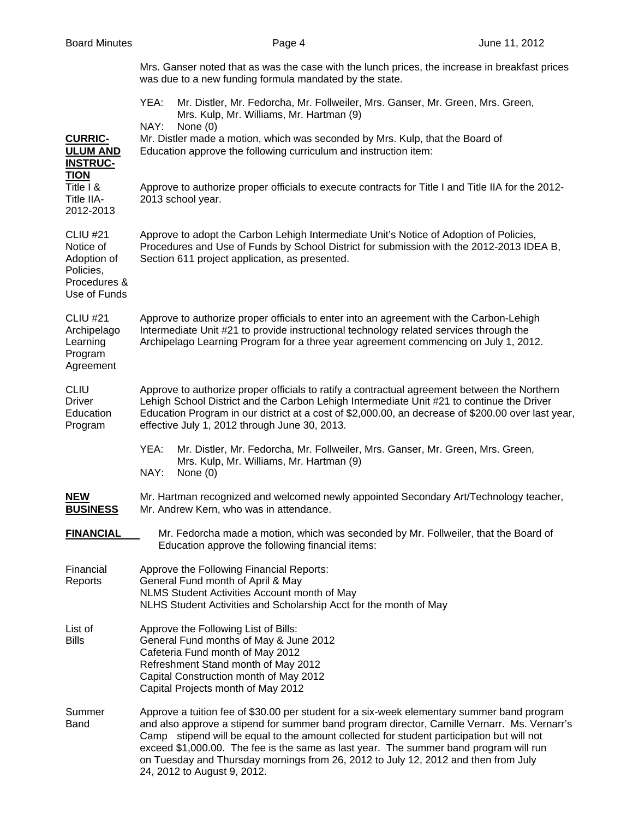| Board Minutes |
|---------------|
|               |

|                                                                                          | Mrs. Ganser noted that as was the case with the lunch prices, the increase in breakfast prices<br>was due to a new funding formula mandated by the state.                                                                                                                                                                                        |  |  |
|------------------------------------------------------------------------------------------|--------------------------------------------------------------------------------------------------------------------------------------------------------------------------------------------------------------------------------------------------------------------------------------------------------------------------------------------------|--|--|
|                                                                                          | YEA:<br>Mr. Distler, Mr. Fedorcha, Mr. Follweiler, Mrs. Ganser, Mr. Green, Mrs. Green,<br>Mrs. Kulp, Mr. Williams, Mr. Hartman (9)<br>NAY:<br>None $(0)$                                                                                                                                                                                         |  |  |
| <b>CURRIC-</b><br><b>ULUM AND</b><br><b>INSTRUC-</b><br><b>TION</b>                      | Mr. Distler made a motion, which was seconded by Mrs. Kulp, that the Board of<br>Education approve the following curriculum and instruction item:                                                                                                                                                                                                |  |  |
| Title I &<br>Title IIA-<br>2012-2013                                                     | Approve to authorize proper officials to execute contracts for Title I and Title IIA for the 2012-<br>2013 school year.                                                                                                                                                                                                                          |  |  |
| <b>CLIU #21</b><br>Notice of<br>Adoption of<br>Policies,<br>Procedures &<br>Use of Funds | Approve to adopt the Carbon Lehigh Intermediate Unit's Notice of Adoption of Policies,<br>Procedures and Use of Funds by School District for submission with the 2012-2013 IDEA B,<br>Section 611 project application, as presented.                                                                                                             |  |  |
| <b>CLIU #21</b><br>Archipelago<br>Learning<br>Program<br>Agreement                       | Approve to authorize proper officials to enter into an agreement with the Carbon-Lehigh<br>Intermediate Unit #21 to provide instructional technology related services through the<br>Archipelago Learning Program for a three year agreement commencing on July 1, 2012.                                                                         |  |  |
| <b>CLIU</b><br><b>Driver</b><br>Education<br>Program                                     | Approve to authorize proper officials to ratify a contractual agreement between the Northern<br>Lehigh School District and the Carbon Lehigh Intermediate Unit #21 to continue the Driver<br>Education Program in our district at a cost of \$2,000.00, an decrease of \$200.00 over last year,<br>effective July 1, 2012 through June 30, 2013. |  |  |
|                                                                                          | YEA:<br>Mr. Distler, Mr. Fedorcha, Mr. Follweiler, Mrs. Ganser, Mr. Green, Mrs. Green,<br>Mrs. Kulp, Mr. Williams, Mr. Hartman (9)<br>NAY:<br>None $(0)$                                                                                                                                                                                         |  |  |
| <b>NEW</b><br><b>BUSINESS</b>                                                            | Mr. Hartman recognized and welcomed newly appointed Secondary Art/Technology teacher,<br>Mr. Andrew Kern, who was in attendance.                                                                                                                                                                                                                 |  |  |
| <b>FINANCIAL</b>                                                                         | Mr. Fedorcha made a motion, which was seconded by Mr. Follweiler, that the Board of<br>Education approve the following financial items:                                                                                                                                                                                                          |  |  |
| Financial<br>Reports                                                                     | Approve the Following Financial Reports:<br>General Fund month of April & May<br>NLMS Student Activities Account month of May<br>NLHS Student Activities and Scholarship Acct for the month of May                                                                                                                                               |  |  |
| List of<br><b>Bills</b>                                                                  | Approve the Following List of Bills:<br>General Fund months of May & June 2012<br>Cafeteria Fund month of May 2012<br>Refreshment Stand month of May 2012<br>Capital Construction month of May 2012<br>Capital Projects month of May 2012                                                                                                        |  |  |

Summer Approve a tuition fee of \$30.00 per student for a six-week elementary summer band program<br>Band and also approve a stipend for summer band program director. Camille Vernarr. Ms. Vernarr' and also approve a stipend for summer band program director, Camille Vernarr. Ms. Vernarr's Camp stipend will be equal to the amount collected for student participation but will not exceed \$1,000.00. The fee is the same as last year. The summer band program will run on Tuesday and Thursday mornings from 26, 2012 to July 12, 2012 and then from July 24, 2012 to August 9, 2012.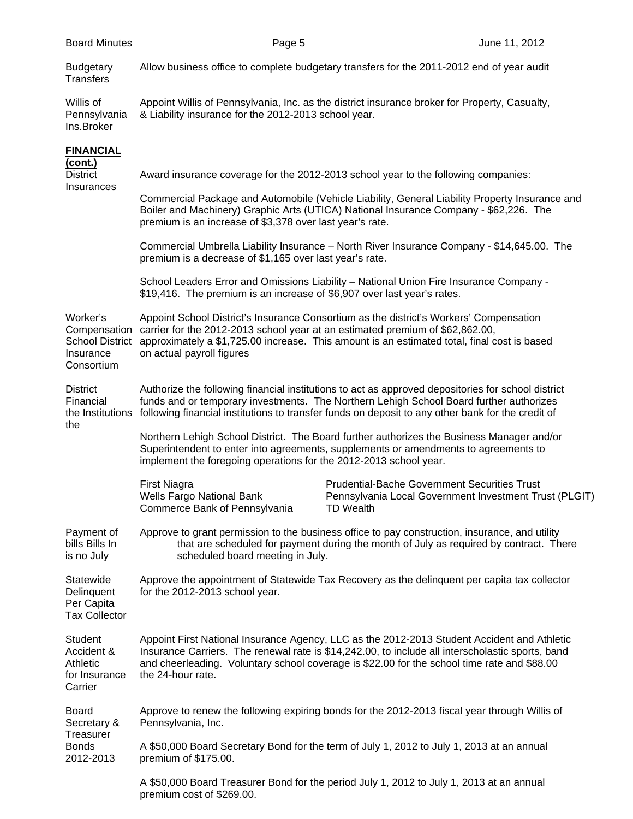| <b>Budgetary</b><br><b>Transfers</b>                                          | Allow business office to complete budgetary transfers for the 2011-2012 end of year audit                                                                                                                                                                                                           |                                                                                                                                                                                                                                                                                                |  |  |  |  |  |
|-------------------------------------------------------------------------------|-----------------------------------------------------------------------------------------------------------------------------------------------------------------------------------------------------------------------------------------------------------------------------------------------------|------------------------------------------------------------------------------------------------------------------------------------------------------------------------------------------------------------------------------------------------------------------------------------------------|--|--|--|--|--|
| Willis of<br>Pennsylvania<br>Ins.Broker                                       | Appoint Willis of Pennsylvania, Inc. as the district insurance broker for Property, Casualty,<br>& Liability insurance for the 2012-2013 school year.                                                                                                                                               |                                                                                                                                                                                                                                                                                                |  |  |  |  |  |
| <b>FINANCIAL</b>                                                              |                                                                                                                                                                                                                                                                                                     |                                                                                                                                                                                                                                                                                                |  |  |  |  |  |
| <u>(cont.)</u><br><b>District</b><br>Insurances                               | Award insurance coverage for the 2012-2013 school year to the following companies:                                                                                                                                                                                                                  |                                                                                                                                                                                                                                                                                                |  |  |  |  |  |
|                                                                               | Commercial Package and Automobile (Vehicle Liability, General Liability Property Insurance and<br>Boiler and Machinery) Graphic Arts (UTICA) National Insurance Company - \$62,226. The<br>premium is an increase of \$3,378 over last year's rate.                                                 |                                                                                                                                                                                                                                                                                                |  |  |  |  |  |
|                                                                               | Commercial Umbrella Liability Insurance - North River Insurance Company - \$14,645.00. The<br>premium is a decrease of \$1,165 over last year's rate.                                                                                                                                               |                                                                                                                                                                                                                                                                                                |  |  |  |  |  |
|                                                                               | \$19,416. The premium is an increase of \$6,907 over last year's rates.                                                                                                                                                                                                                             | School Leaders Error and Omissions Liability - National Union Fire Insurance Company -                                                                                                                                                                                                         |  |  |  |  |  |
| Worker's<br>Compensation<br><b>School District</b><br>Insurance<br>Consortium | Appoint School District's Insurance Consortium as the district's Workers' Compensation<br>carrier for the 2012-2013 school year at an estimated premium of \$62,862.00,<br>approximately a \$1,725.00 increase. This amount is an estimated total, final cost is based<br>on actual payroll figures |                                                                                                                                                                                                                                                                                                |  |  |  |  |  |
| <b>District</b><br>Financial<br>the Institutions<br>the                       | Authorize the following financial institutions to act as approved depositories for school district<br>funds and or temporary investments. The Northern Lehigh School Board further authorizes<br>following financial institutions to transfer funds on deposit to any other bank for the credit of  |                                                                                                                                                                                                                                                                                                |  |  |  |  |  |
|                                                                               | Northern Lehigh School District. The Board further authorizes the Business Manager and/or<br>Superintendent to enter into agreements, supplements or amendments to agreements to<br>implement the foregoing operations for the 2012-2013 school year.                                               |                                                                                                                                                                                                                                                                                                |  |  |  |  |  |
|                                                                               | <b>First Niagra</b><br>Wells Fargo National Bank<br>Commerce Bank of Pennsylvania                                                                                                                                                                                                                   | <b>Prudential-Bache Government Securities Trust</b><br>Pennsylvania Local Government Investment Trust (PLGIT)<br><b>TD Wealth</b>                                                                                                                                                              |  |  |  |  |  |
| Payment of<br>bills Bills In<br>is no July                                    | Approve to grant permission to the business office to pay construction, insurance, and utility<br>that are scheduled for payment during the month of July as required by contract. There<br>scheduled board meeting in July.                                                                        |                                                                                                                                                                                                                                                                                                |  |  |  |  |  |
| Statewide<br>Delinquent<br>Per Capita<br><b>Tax Collector</b>                 | Approve the appointment of Statewide Tax Recovery as the delinquent per capita tax collector<br>for the 2012-2013 school year.                                                                                                                                                                      |                                                                                                                                                                                                                                                                                                |  |  |  |  |  |
| Student<br>Accident &<br>Athletic<br>for Insurance<br>Carrier                 | the 24-hour rate.                                                                                                                                                                                                                                                                                   | Appoint First National Insurance Agency, LLC as the 2012-2013 Student Accident and Athletic<br>Insurance Carriers. The renewal rate is \$14,242.00, to include all interscholastic sports, band<br>and cheerleading. Voluntary school coverage is \$22.00 for the school time rate and \$88.00 |  |  |  |  |  |
| <b>Board</b><br>Secretary &                                                   | Pennsylvania, Inc.                                                                                                                                                                                                                                                                                  | Approve to renew the following expiring bonds for the 2012-2013 fiscal year through Willis of                                                                                                                                                                                                  |  |  |  |  |  |

Treasurer Bonds A \$50,000 Board Secretary Bond for the term of July 1, 2012 to July 1, 2013 at an annual<br>2012-2013 premium of \$175.00. premium of \$175.00.

> A \$50,000 Board Treasurer Bond for the period July 1, 2012 to July 1, 2013 at an annual premium cost of \$269.00.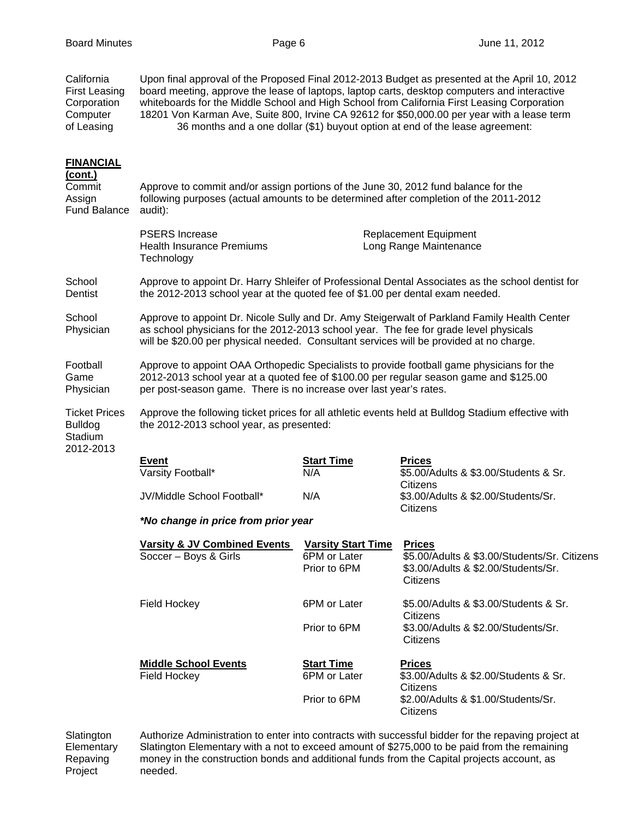| California<br><b>First Leasing</b><br>Corporation<br>Computer<br>of Leasing | Upon final approval of the Proposed Final 2012-2013 Budget as presented at the April 10, 2012<br>board meeting, approve the lease of laptops, laptop carts, desktop computers and interactive<br>whiteboards for the Middle School and High School from California First Leasing Corporation<br>18201 Von Karman Ave, Suite 800, Irvine CA 92612 for \$50,000.00 per year with a lease term<br>36 months and a one dollar (\$1) buyout option at end of the lease agreement: |                                                           |                                                                                                                  |  |  |  |  |
|-----------------------------------------------------------------------------|------------------------------------------------------------------------------------------------------------------------------------------------------------------------------------------------------------------------------------------------------------------------------------------------------------------------------------------------------------------------------------------------------------------------------------------------------------------------------|-----------------------------------------------------------|------------------------------------------------------------------------------------------------------------------|--|--|--|--|
| <b>FINANCIAL</b><br>(cont.)<br>Commit<br>Assign<br><b>Fund Balance</b>      | Approve to commit and/or assign portions of the June 30, 2012 fund balance for the<br>following purposes (actual amounts to be determined after completion of the 2011-2012<br>audit):                                                                                                                                                                                                                                                                                       |                                                           |                                                                                                                  |  |  |  |  |
|                                                                             | <b>PSERS</b> Increase<br><b>Health Insurance Premiums</b><br>Technology                                                                                                                                                                                                                                                                                                                                                                                                      |                                                           | <b>Replacement Equipment</b><br>Long Range Maintenance                                                           |  |  |  |  |
| School<br>Dentist                                                           | Approve to appoint Dr. Harry Shleifer of Professional Dental Associates as the school dentist for<br>the 2012-2013 school year at the quoted fee of \$1.00 per dental exam needed.                                                                                                                                                                                                                                                                                           |                                                           |                                                                                                                  |  |  |  |  |
| School<br>Physician                                                         | Approve to appoint Dr. Nicole Sully and Dr. Amy Steigerwalt of Parkland Family Health Center<br>as school physicians for the 2012-2013 school year. The fee for grade level physicals<br>will be \$20.00 per physical needed. Consultant services will be provided at no charge.                                                                                                                                                                                             |                                                           |                                                                                                                  |  |  |  |  |
| Football<br>Game<br>Physician                                               | Approve to appoint OAA Orthopedic Specialists to provide football game physicians for the<br>2012-2013 school year at a quoted fee of \$100.00 per regular season game and \$125.00<br>per post-season game. There is no increase over last year's rates.                                                                                                                                                                                                                    |                                                           |                                                                                                                  |  |  |  |  |
| <b>Ticket Prices</b><br><b>Bulldog</b><br>Stadium<br>2012-2013              | Approve the following ticket prices for all athletic events held at Bulldog Stadium effective with<br>the 2012-2013 school year, as presented:                                                                                                                                                                                                                                                                                                                               |                                                           |                                                                                                                  |  |  |  |  |
|                                                                             | Event<br>Varsity Football*                                                                                                                                                                                                                                                                                                                                                                                                                                                   | <b>Start Time</b><br>N/A                                  | <b>Prices</b><br>\$5.00/Adults & \$3.00/Students & Sr.<br>Citizens                                               |  |  |  |  |
|                                                                             | JV/Middle School Football*                                                                                                                                                                                                                                                                                                                                                                                                                                                   | N/A                                                       | \$3.00/Adults & \$2.00/Students/Sr.<br>Citizens                                                                  |  |  |  |  |
|                                                                             | *No change in price from prior year                                                                                                                                                                                                                                                                                                                                                                                                                                          |                                                           |                                                                                                                  |  |  |  |  |
|                                                                             | <b>Varsity &amp; JV Combined Events</b><br>Soccer - Boys & Girls                                                                                                                                                                                                                                                                                                                                                                                                             | <b>Varsity Start Time</b><br>6PM or Later<br>Prior to 6PM | <b>Prices</b><br>\$5.00/Adults & \$3.00/Students/Sr. Citizens<br>\$3.00/Adults & \$2.00/Students/Sr.<br>Citizens |  |  |  |  |
|                                                                             | Field Hockey                                                                                                                                                                                                                                                                                                                                                                                                                                                                 | 6PM or Later                                              | \$5.00/Adults & \$3.00/Students & Sr.<br>Citizens                                                                |  |  |  |  |
|                                                                             |                                                                                                                                                                                                                                                                                                                                                                                                                                                                              | Prior to 6PM                                              | \$3.00/Adults & \$2.00/Students/Sr.<br>Citizens                                                                  |  |  |  |  |
|                                                                             | <b>Middle School Events</b><br>Field Hockey                                                                                                                                                                                                                                                                                                                                                                                                                                  | <b>Start Time</b><br>6PM or Later                         | <b>Prices</b><br>\$3.00/Adults & \$2.00/Students & Sr.                                                           |  |  |  |  |
|                                                                             |                                                                                                                                                                                                                                                                                                                                                                                                                                                                              | Prior to 6PM                                              | Citizens<br>\$2.00/Adults & \$1.00/Students/Sr.<br>Citizens                                                      |  |  |  |  |

Slatington Authorize Administration to enter into contracts with successful bidder for the repaving project at<br>Elementary Slatington Elementary with a not to exceed amount of \$275,000 to be paid from the remaining Slatington Elementary with a not to exceed amount of \$275,000 to be paid from the remaining Repaving money in the construction bonds and additional funds from the Capital projects account, as<br>Project needed. needed.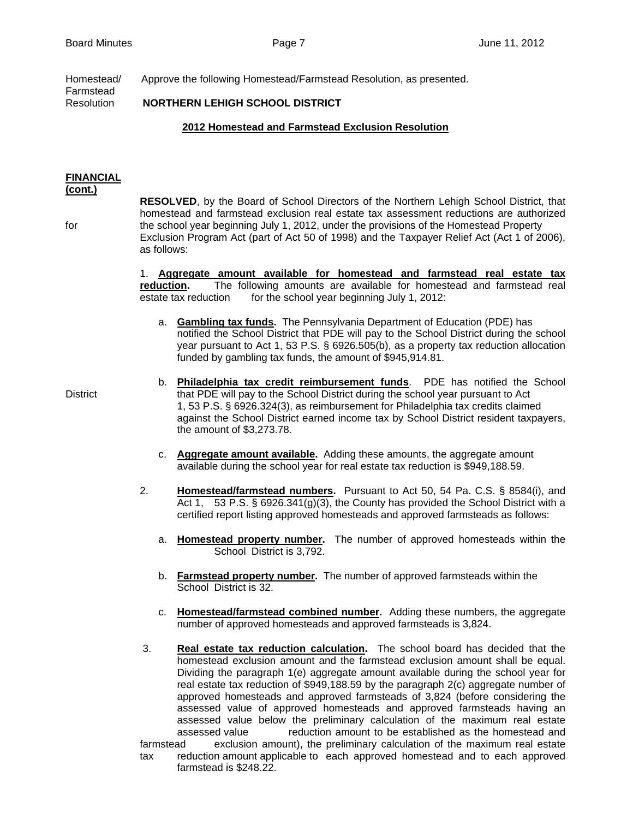Homestead/ Approve the following Homestead/Farmstead Resolution, as presented.

Farmstead Resolution **NORTHERN LEHIGH SCHOOL DISTRICT**

# **2012 Homestead and Farmstead Exclusion Resolution**

#### **FINANCIAL (cont.)**

 **RESOLVED**, by the Board of School Directors of the Northern Lehigh School District, that homestead and farmstead exclusion real estate tax assessment reductions are authorized for the school year beginning July 1, 2012, under the provisions of the Homestead Property Exclusion Program Act (part of Act 50 of 1998) and the Taxpayer Relief Act (Act 1 of 2006), as follows:

> 1. **Aggregate amount available for homestead and farmstead real estate tax reduction.** The following amounts are available for homestead and farmstead real estate tax reduction for the school year beginning July 1, 2012:

a. **Gambling tax funds.** The Pennsylvania Department of Education (PDE) has notified the School District that PDE will pay to the School District during the school year pursuant to Act 1, 53 P.S. § 6926.505(b), as a property tax reduction allocation funded by gambling tax funds, the amount of \$945,914.81.

- b. **Philadelphia tax credit reimbursement funds**. PDE has notified the School District that PDE will pay to the School District during the school year pursuant to Act 1, 53 P.S. § 6926.324(3), as reimbursement for Philadelphia tax credits claimed against the School District earned income tax by School District resident taxpayers, the amount of \$3,273.78.
	- c. **Aggregate amount available.** Adding these amounts, the aggregate amount available during the school year for real estate tax reduction is \$949,188.59.
	- 2. **Homestead/farmstead numbers.** Pursuant to Act 50, 54 Pa. C.S. § 8584(i), and Act 1, 53 P.S. § 6926.341(g)(3), the County has provided the School District with a certified report listing approved homesteads and approved farmsteads as follows:
		- a. **Homestead property number.** The number of approved homesteads within the School District is 3,792.
		- b. **Farmstead property number.** The number of approved farmsteads within the School District is 32.
		- c. **Homestead/farmstead combined number.** Adding these numbers, the aggregate number of approved homesteads and approved farmsteads is 3,824.
	- 3. **Real estate tax reduction calculation.** The school board has decided that the homestead exclusion amount and the farmstead exclusion amount shall be equal. Dividing the paragraph 1(e) aggregate amount available during the school year for real estate tax reduction of \$949,188.59 by the paragraph 2(c) aggregate number of approved homesteads and approved farmsteads of 3,824 (before considering the assessed value of approved homesteads and approved farmsteads having an assessed value below the preliminary calculation of the maximum real estate assessed value reduction amount to be established as the homestead and farmstead exclusion amount), the preliminary calculation of the maximum real estate tax reduction amount applicable to each approved homestead and to each approved farmstead is \$248.22.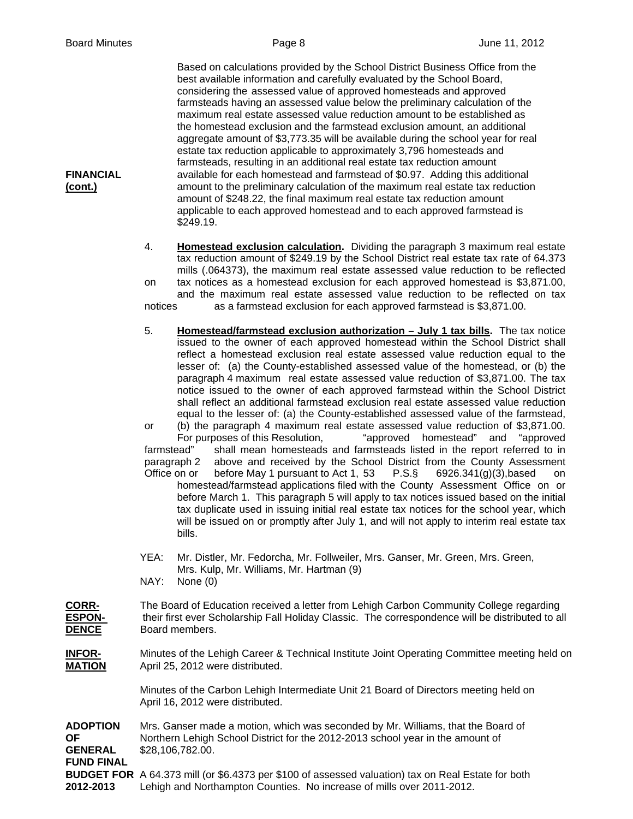Based on calculations provided by the School District Business Office from the best available information and carefully evaluated by the School Board, considering the assessed value of approved homesteads and approved farmsteads having an assessed value below the preliminary calculation of the maximum real estate assessed value reduction amount to be established as the homestead exclusion and the farmstead exclusion amount, an additional aggregate amount of \$3,773.35 will be available during the school year for real estate tax reduction applicable to approximately 3,796 homesteads and farmsteads, resulting in an additional real estate tax reduction amount **FINANCIAL** available for each homestead and farmstead of \$0.97. Adding this additional **(cont.)** amount to the preliminary calculation of the maximum real estate tax reduction amount of \$248.22, the final maximum real estate tax reduction amount applicable to each approved homestead and to each approved farmstead is \$249.19.

> 4. **Homestead exclusion calculation.** Dividing the paragraph 3 maximum real estate tax reduction amount of \$249.19 by the School District real estate tax rate of 64.373 mills (.064373), the maximum real estate assessed value reduction to be reflected on tax notices as a homestead exclusion for each approved homestead is \$3,871.00, and the maximum real estate assessed value reduction to be reflected on tax notices as a farmstead exclusion for each approved farmstead is \$3,871.00.

> 5. **Homestead/farmstead exclusion authorization – July 1 tax bills.** The tax notice issued to the owner of each approved homestead within the School District shall reflect a homestead exclusion real estate assessed value reduction equal to the lesser of: (a) the County-established assessed value of the homestead, or (b) the paragraph 4 maximum real estate assessed value reduction of \$3,871.00. The tax notice issued to the owner of each approved farmstead within the School District shall reflect an additional farmstead exclusion real estate assessed value reduction equal to the lesser of: (a) the County-established assessed value of the farmstead, or (b) the paragraph 4 maximum real estate assessed value reduction of \$3,871.00. For purposes of this Resolution, "approved homestead" and "approved farmstead" shall mean homesteads and farmsteads listed in the report referred to in paragraph 2 above and received by the School District from the County Assessment Office on or before May 1 pursuant to Act 1, 53 P.S.§ 6926.341(g)(3),based on homestead/farmstead applications filed with the County Assessment Office on or before March 1. This paragraph 5 will apply to tax notices issued based on the initial tax duplicate used in issuing initial real estate tax notices for the school year, which will be issued on or promptly after July 1, and will not apply to interim real estate tax bills.

 YEA: Mr. Distler, Mr. Fedorcha, Mr. Follweiler, Mrs. Ganser, Mr. Green, Mrs. Green, Mrs. Kulp, Mr. Williams, Mr. Hartman (9)

NAY: None (0)

**CORR-** The Board of Education received a letter from Lehigh Carbon Community College regarding **ESPON-** their first ever Scholarship Fall Holiday Classic. The correspondence will be distributed to all **DENCE** Board members.

**INFOR-** Minutes of the Lehigh Career & Technical Institute Joint Operating Committee meeting held on **MATION** April 25, 2012 were distributed.

> Minutes of the Carbon Lehigh Intermediate Unit 21 Board of Directors meeting held on April 16, 2012 were distributed.

**ADOPTION** Mrs. Ganser made a motion, which was seconded by Mr. Williams, that the Board of **OF** Northern Lehigh School District for the 2012-2013 school year in the amount of **GENERAL** \$28,106,782.00. **FUND FINAL BUDGET FOR** A 64.373 mill (or \$6.4373 per \$100 of assessed valuation) tax on Real Estate for both **2012-2013** Lehigh and Northampton Counties. No increase of mills over 2011-2012.